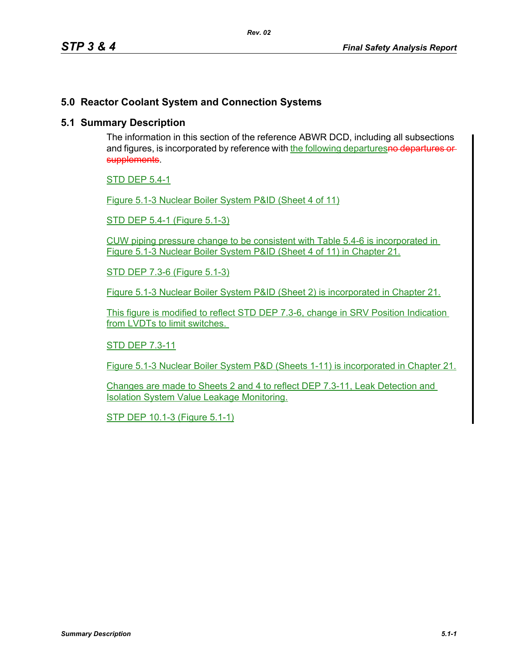## **5.0 Reactor Coolant System and Connection Systems**

## **5.1 Summary Description**

The information in this section of the reference ABWR DCD, including all subsections and figures, is incorporated by reference with the following departuresno departures or supplements.

STD DEP 5.4-1

Figure 5.1-3 Nuclear Boiler System P&ID (Sheet 4 of 11)

STD DEP 5.4-1 (Figure 5.1-3)

CUW piping pressure change to be consistent with Table 5.4-6 is incorporated in Figure 5.1-3 Nuclear Boiler System P&ID (Sheet 4 of 11) in Chapter 21.

STD DEP 7.3-6 (Figure 5.1-3)

Figure 5.1-3 Nuclear Boiler System P&ID (Sheet 2) is incorporated in Chapter 21.

This figure is modified to reflect STD DEP 7.3-6, change in SRV Position Indication from LVDTs to limit switches.

STD DEP 7.3-11

Figure 5.1-3 Nuclear Boiler System P&D (Sheets 1-11) is incorporated in Chapter 21.

Changes are made to Sheets 2 and 4 to reflect DEP 7.3-11, Leak Detection and Isolation System Value Leakage Monitoring.

STP DEP 10.1-3 (Figure 5.1-1)